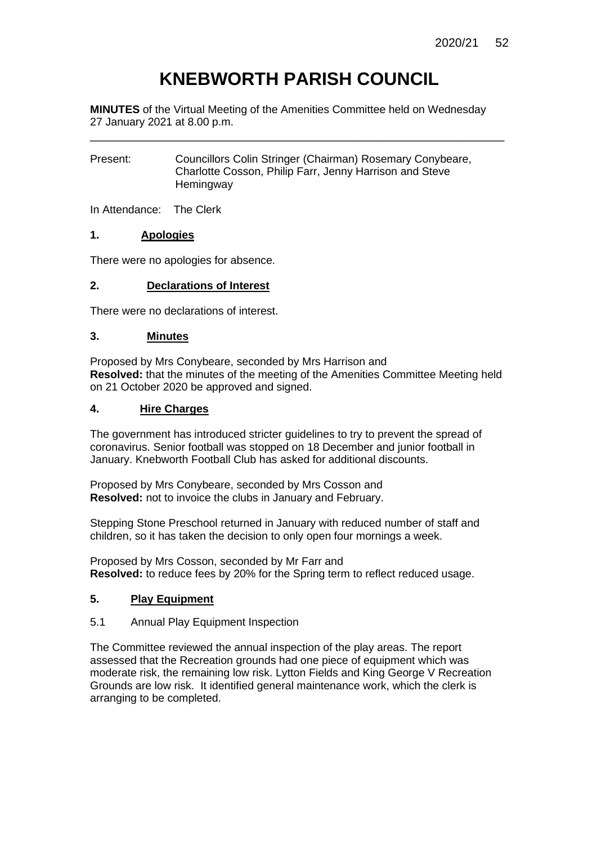# **KNEBWORTH PARISH COUNCIL**

**MINUTES** of the Virtual Meeting of the Amenities Committee held on Wednesday 27 January 2021 at 8.00 p.m.

\_\_\_\_\_\_\_\_\_\_\_\_\_\_\_\_\_\_\_\_\_\_\_\_\_\_\_\_\_\_\_\_\_\_\_\_\_\_\_\_\_\_\_\_\_\_\_\_\_\_\_\_\_\_\_\_\_\_\_\_\_\_

Present: Councillors Colin Stringer (Chairman) Rosemary Conybeare, Charlotte Cosson, Philip Farr, Jenny Harrison and Steve **Hemingway** 

In Attendance: The Clerk

# **1. Apologies**

There were no apologies for absence.

# **2. Declarations of Interest**

There were no declarations of interest.

# **3. Minutes**

Proposed by Mrs Conybeare, seconded by Mrs Harrison and **Resolved:** that the minutes of the meeting of the Amenities Committee Meeting held on 21 October 2020 be approved and signed.

# **4. Hire Charges**

The government has introduced stricter guidelines to try to prevent the spread of coronavirus. Senior football was stopped on 18 December and junior football in January. Knebworth Football Club has asked for additional discounts.

Proposed by Mrs Conybeare, seconded by Mrs Cosson and **Resolved:** not to invoice the clubs in January and February.

Stepping Stone Preschool returned in January with reduced number of staff and children, so it has taken the decision to only open four mornings a week.

Proposed by Mrs Cosson, seconded by Mr Farr and **Resolved:** to reduce fees by 20% for the Spring term to reflect reduced usage.

# **5. Play Equipment**

# 5.1 Annual Play Equipment Inspection

The Committee reviewed the annual inspection of the play areas. The report assessed that the Recreation grounds had one piece of equipment which was moderate risk, the remaining low risk. Lytton Fields and King George V Recreation Grounds are low risk. It identified general maintenance work, which the clerk is arranging to be completed.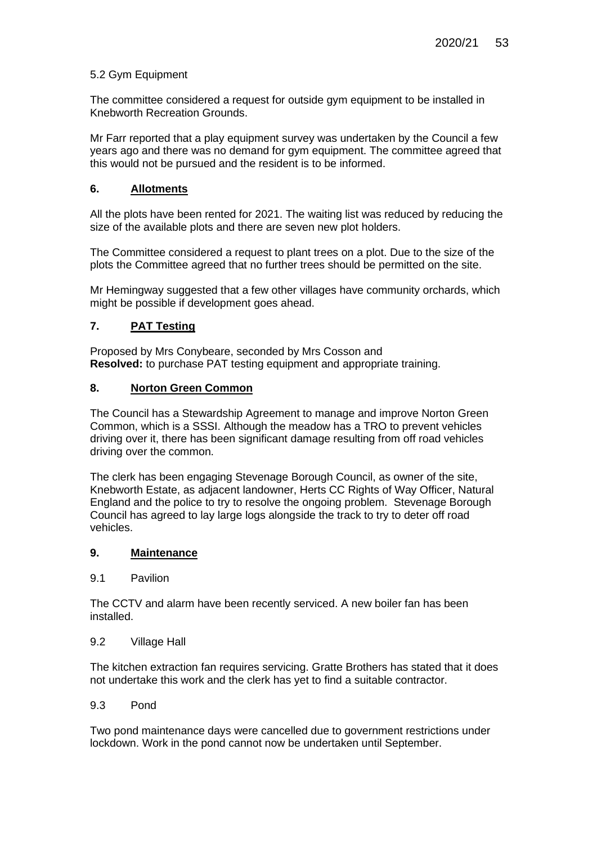# 5.2 Gym Equipment

The committee considered a request for outside gym equipment to be installed in Knebworth Recreation Grounds.

Mr Farr reported that a play equipment survey was undertaken by the Council a few years ago and there was no demand for gym equipment. The committee agreed that this would not be pursued and the resident is to be informed.

# **6. Allotments**

All the plots have been rented for 2021. The waiting list was reduced by reducing the size of the available plots and there are seven new plot holders.

The Committee considered a request to plant trees on a plot. Due to the size of the plots the Committee agreed that no further trees should be permitted on the site.

Mr Hemingway suggested that a few other villages have community orchards, which might be possible if development goes ahead.

# **7. PAT Testing**

Proposed by Mrs Conybeare, seconded by Mrs Cosson and **Resolved:** to purchase PAT testing equipment and appropriate training.

# **8. Norton Green Common**

The Council has a Stewardship Agreement to manage and improve Norton Green Common, which is a SSSI. Although the meadow has a TRO to prevent vehicles driving over it, there has been significant damage resulting from off road vehicles driving over the common.

The clerk has been engaging Stevenage Borough Council, as owner of the site, Knebworth Estate, as adjacent landowner, Herts CC Rights of Way Officer, Natural England and the police to try to resolve the ongoing problem. Stevenage Borough Council has agreed to lay large logs alongside the track to try to deter off road vehicles.

# **9. Maintenance**

#### 9.1 Pavilion

The CCTV and alarm have been recently serviced. A new boiler fan has been installed.

#### 9.2 Village Hall

The kitchen extraction fan requires servicing. Gratte Brothers has stated that it does not undertake this work and the clerk has yet to find a suitable contractor.

# 9.3 Pond

Two pond maintenance days were cancelled due to government restrictions under lockdown. Work in the pond cannot now be undertaken until September.